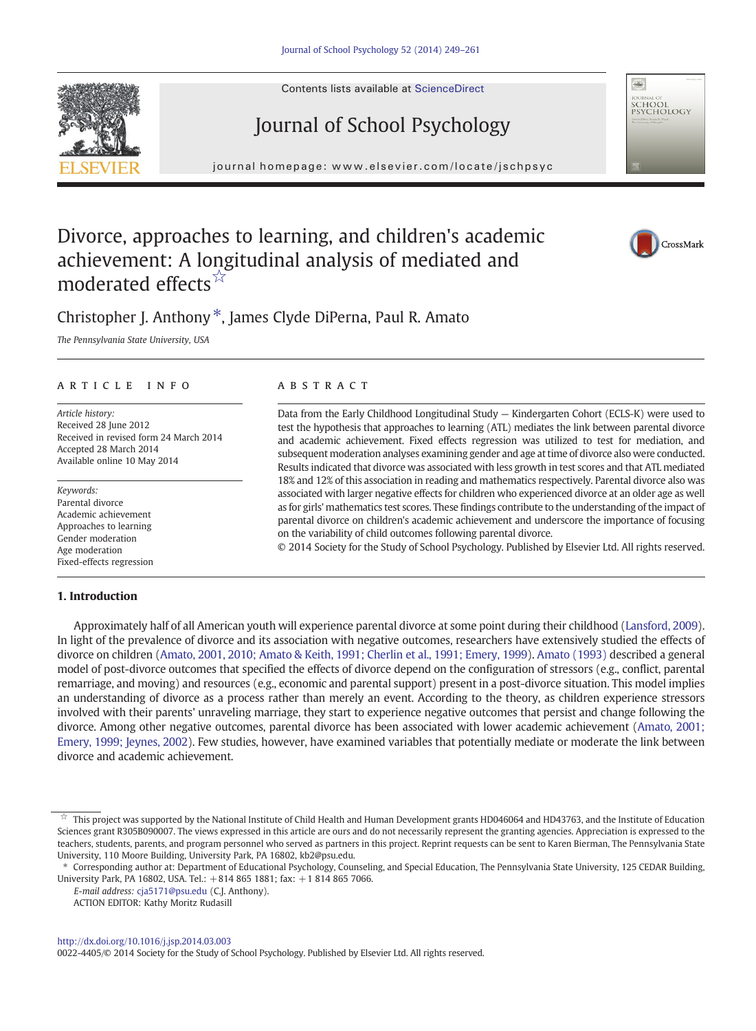Contents lists available at ScienceDirect

# Journal of School Psychology

journal home page: www.elsevier.com/locate/jschpsychpsych

## Divorce, approaches to learning, and children's academic achievement: A longitudinal analysis of mediated and moderated effects<sup>☆</sup>

## Christopher J. Anthony<sup>\*</sup>, James Clyde DiPerna, Paul R. Amato

The Pennsylvania State University, USA

#### article info abstract

Article history: Received 28 June 2012 Received in revised form 24 March 2014 Accepted 28 March 2014 Available online 10 May 2014

Keywords: Parental divorce Academic achievement Approaches to learning Gender moderation Age moderation Fixed-effects regression

### 1. Introduction

Data from the Early Childhood Longitudinal Study — Kindergarten Cohort (ECLS-K) were used to test the hypothesis that approaches to learning (ATL) mediates the link between parental divorce and academic achievement. Fixed effects regression was utilized to test for mediation, and subsequent moderation analyses examining gender and age at time of divorce also were conducted. Results indicated that divorce was associated with less growth in test scores and that ATL mediated 18% and 12% of this association in reading and mathematics respectively. Parental divorce also was associated with larger negative effects for children who experienced divorce at an older age as well as for girls' mathematics test scores. These findings contribute to the understanding of the impact of parental divorce on children's academic achievement and underscore the importance of focusing on the variability of child outcomes following parental divorce.

© 2014 Society for the Study of School Psychology. Published by Elsevier Ltd. All rights reserved.

Approximately half of all American youth will experience parental divorce at some point during their childhood [\(Lansford, 2009](#page--1-0)). In light of the prevalence of divorce and its association with negative outcomes, researchers have extensively studied the effects of divorce on children [\(Amato, 2001, 2010; Amato & Keith, 1991; Cherlin et al., 1991; Emery, 1999\)](#page--1-0). [Amato \(1993\)](#page--1-0) described a general model of post-divorce outcomes that specified the effects of divorce depend on the configuration of stressors (e.g., conflict, parental remarriage, and moving) and resources (e.g., economic and parental support) present in a post-divorce situation. This model implies an understanding of divorce as a process rather than merely an event. According to the theory, as children experience stressors involved with their parents' unraveling marriage, they start to experience negative outcomes that persist and change following the divorce. Among other negative outcomes, parental divorce has been associated with lower academic achievement [\(Amato, 2001;](#page--1-0) [Emery, 1999; Jeynes, 2002](#page--1-0)). Few studies, however, have examined variables that potentially mediate or moderate the link between divorce and academic achievement.







This project was supported by the National Institute of Child Health and Human Development grants HD046064 and HD43763, and the Institute of Education Sciences grant R305B090007. The views expressed in this article are ours and do not necessarily represent the granting agencies. Appreciation is expressed to the teachers, students, parents, and program personnel who served as partners in this project. Reprint requests can be sent to Karen Bierman, The Pennsylvania State University, 110 Moore Building, University Park, PA 16802, kb2@psu.edu.

<sup>⁎</sup> Corresponding author at: Department of Educational Psychology, Counseling, and Special Education, The Pennsylvania State University, 125 CEDAR Building, University Park, PA 16802, USA. Tel.: +814 865 1881; fax: +1 814 865 7066.

E-mail address: [cja5171@psu.edu](mailto:cja5171@psu.edu) (C.J. Anthony).

ACTION EDITOR: Kathy Moritz Rudasill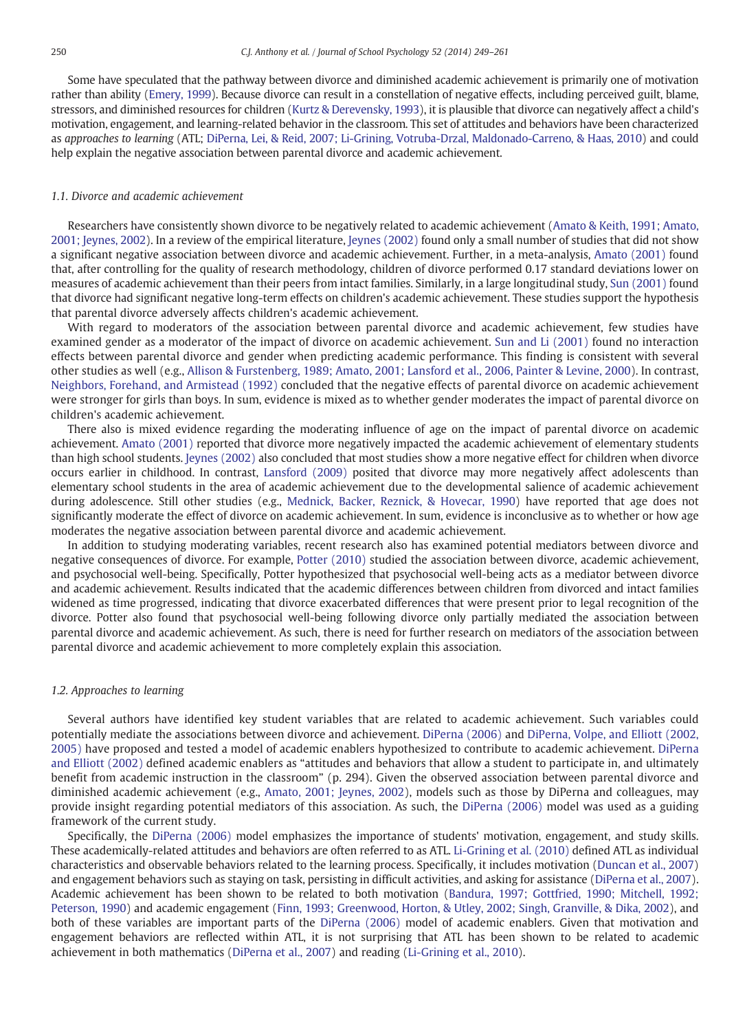Some have speculated that the pathway between divorce and diminished academic achievement is primarily one of motivation rather than ability [\(Emery, 1999\)](#page--1-0). Because divorce can result in a constellation of negative effects, including perceived guilt, blame, stressors, and diminished resources for children [\(Kurtz & Derevensky, 1993\)](#page--1-0), it is plausible that divorce can negatively affect a child's motivation, engagement, and learning-related behavior in the classroom. This set of attitudes and behaviors have been characterized as approaches to learning (ATL; [DiPerna, Lei, & Reid, 2007; Li-Grining, Votruba-Drzal, Maldonado-Carreno, & Haas, 2010](#page--1-0)) and could help explain the negative association between parental divorce and academic achievement.

#### 1.1. Divorce and academic achievement

Researchers have consistently shown divorce to be negatively related to academic achievement [\(Amato & Keith, 1991; Amato,](#page--1-0) [2001; Jeynes, 2002\)](#page--1-0). In a review of the empirical literature, [Jeynes \(2002\)](#page--1-0) found only a small number of studies that did not show a significant negative association between divorce and academic achievement. Further, in a meta-analysis, [Amato \(2001\)](#page--1-0) found that, after controlling for the quality of research methodology, children of divorce performed 0.17 standard deviations lower on measures of academic achievement than their peers from intact families. Similarly, in a large longitudinal study, [Sun \(2001\)](#page--1-0) found that divorce had significant negative long-term effects on children's academic achievement. These studies support the hypothesis that parental divorce adversely affects children's academic achievement.

With regard to moderators of the association between parental divorce and academic achievement, few studies have examined gender as a moderator of the impact of divorce on academic achievement. [Sun and Li \(2001\)](#page--1-0) found no interaction effects between parental divorce and gender when predicting academic performance. This finding is consistent with several other studies as well (e.g., [Allison & Furstenberg, 1989; Amato, 2001; Lansford et al., 2006, Painter & Levine, 2000](#page--1-0)). In contrast, [Neighbors, Forehand, and Armistead \(1992\)](#page--1-0) concluded that the negative effects of parental divorce on academic achievement were stronger for girls than boys. In sum, evidence is mixed as to whether gender moderates the impact of parental divorce on children's academic achievement.

There also is mixed evidence regarding the moderating influence of age on the impact of parental divorce on academic achievement. [Amato \(2001\)](#page--1-0) reported that divorce more negatively impacted the academic achievement of elementary students than high school students. [Jeynes \(2002\)](#page--1-0) also concluded that most studies show a more negative effect for children when divorce occurs earlier in childhood. In contrast, [Lansford \(2009\)](#page--1-0) posited that divorce may more negatively affect adolescents than elementary school students in the area of academic achievement due to the developmental salience of academic achievement during adolescence. Still other studies (e.g., [Mednick, Backer, Reznick, & Hovecar, 1990](#page--1-0)) have reported that age does not significantly moderate the effect of divorce on academic achievement. In sum, evidence is inconclusive as to whether or how age moderates the negative association between parental divorce and academic achievement.

In addition to studying moderating variables, recent research also has examined potential mediators between divorce and negative consequences of divorce. For example, [Potter \(2010\)](#page--1-0) studied the association between divorce, academic achievement, and psychosocial well-being. Specifically, Potter hypothesized that psychosocial well-being acts as a mediator between divorce and academic achievement. Results indicated that the academic differences between children from divorced and intact families widened as time progressed, indicating that divorce exacerbated differences that were present prior to legal recognition of the divorce. Potter also found that psychosocial well-being following divorce only partially mediated the association between parental divorce and academic achievement. As such, there is need for further research on mediators of the association between parental divorce and academic achievement to more completely explain this association.

#### 1.2. Approaches to learning

Several authors have identified key student variables that are related to academic achievement. Such variables could potentially mediate the associations between divorce and achievement. [DiPerna \(2006\)](#page--1-0) and [DiPerna, Volpe, and Elliott \(2002,](#page--1-0) [2005\)](#page--1-0) have proposed and tested a model of academic enablers hypothesized to contribute to academic achievement. [DiPerna](#page--1-0) [and Elliott \(2002\)](#page--1-0) defined academic enablers as "attitudes and behaviors that allow a student to participate in, and ultimately benefit from academic instruction in the classroom" (p. 294). Given the observed association between parental divorce and diminished academic achievement (e.g., [Amato, 2001; Jeynes, 2002](#page--1-0)), models such as those by DiPerna and colleagues, may provide insight regarding potential mediators of this association. As such, the [DiPerna \(2006\)](#page--1-0) model was used as a guiding framework of the current study.

Specifically, the [DiPerna \(2006\)](#page--1-0) model emphasizes the importance of students' motivation, engagement, and study skills. These academically-related attitudes and behaviors are often referred to as ATL. [Li-Grining et al. \(2010\)](#page--1-0) defined ATL as individual characteristics and observable behaviors related to the learning process. Specifically, it includes motivation [\(Duncan et al., 2007\)](#page--1-0) and engagement behaviors such as staying on task, persisting in difficult activities, and asking for assistance [\(DiPerna et al., 2007\)](#page--1-0). Academic achievement has been shown to be related to both motivation [\(Bandura, 1997; Gottfried, 1990; Mitchell, 1992;](#page--1-0) [Peterson, 1990\)](#page--1-0) and academic engagement ([Finn, 1993; Greenwood, Horton, & Utley, 2002; Singh, Granville, & Dika, 2002\)](#page--1-0), and both of these variables are important parts of the [DiPerna \(2006\)](#page--1-0) model of academic enablers. Given that motivation and engagement behaviors are reflected within ATL, it is not surprising that ATL has been shown to be related to academic achievement in both mathematics [\(DiPerna et al., 2007](#page--1-0)) and reading ([Li-Grining et al., 2010\)](#page--1-0).